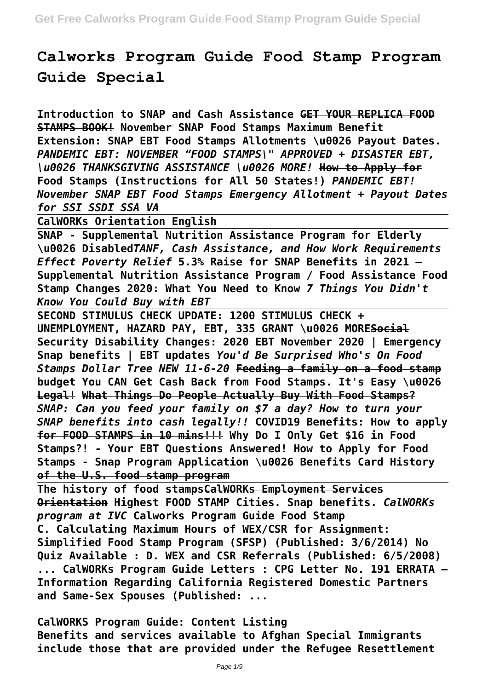# **Calworks Program Guide Food Stamp Program Guide Special**

**Introduction to SNAP and Cash Assistance GET YOUR REPLICA FOOD STAMPS BOOK! November SNAP Food Stamps Maximum Benefit Extension: SNAP EBT Food Stamps Allotments \u0026 Payout Dates.** *PANDEMIC EBT: NOVEMBER "FOOD STAMPS\" APPROVED + DISASTER EBT, \u0026 THANKSGIVING ASSISTANCE \u0026 MORE!* **How to Apply for Food Stamps (Instructions for All 50 States!)** *PANDEMIC EBT! November SNAP EBT Food Stamps Emergency Allotment + Payout Dates for SSI SSDI SSA VA*

**CalWORKs Orientation English**

**SNAP - Supplemental Nutrition Assistance Program for Elderly \u0026 Disabled***TANF, Cash Assistance, and How Work Requirements Effect Poverty Relief* **5.3% Raise for SNAP Benefits in 2021 – Supplemental Nutrition Assistance Program / Food Assistance Food Stamp Changes 2020: What You Need to Know** *7 Things You Didn't Know You Could Buy with EBT*

**SECOND STIMULUS CHECK UPDATE: 1200 STIMULUS CHECK + UNEMPLOYMENT, HAZARD PAY, EBT, 335 GRANT \u0026 MORESocial Security Disability Changes: 2020 EBT November 2020 | Emergency Snap benefits | EBT updates** *You'd Be Surprised Who's On Food Stamps Dollar Tree NEW 11-6-20* **Feeding a family on a food stamp budget You CAN Get Cash Back from Food Stamps. It's Easy \u0026 Legal! What Things Do People Actually Buy With Food Stamps?** *SNAP: Can you feed your family on \$7 a day? How to turn your SNAP benefits into cash legally!!* **COVID19 Benefits: How to apply for FOOD STAMPS in 10 mins!!! Why Do I Only Get \$16 in Food Stamps?! - Your EBT Questions Answered! How to Apply for Food Stamps - Snap Program Application \u0026 Benefits Card History of the U.S. food stamp program**

**The history of food stampsCalWORKs Employment Services Orientation Highest FOOD STAMP Cities. Snap benefits.** *CalWORKs program at IVC* **Calworks Program Guide Food Stamp C. Calculating Maximum Hours of WEX/CSR for Assignment: Simplified Food Stamp Program (SFSP) (Published: 3/6/2014) No Quiz Available : D. WEX and CSR Referrals (Published: 6/5/2008) ... CalWORKs Program Guide Letters : CPG Letter No. 191 ERRATA – Information Regarding California Registered Domestic Partners and Same-Sex Spouses (Published: ...**

**CalWORKS Program Guide: Content Listing Benefits and services available to Afghan Special Immigrants include those that are provided under the Refugee Resettlement**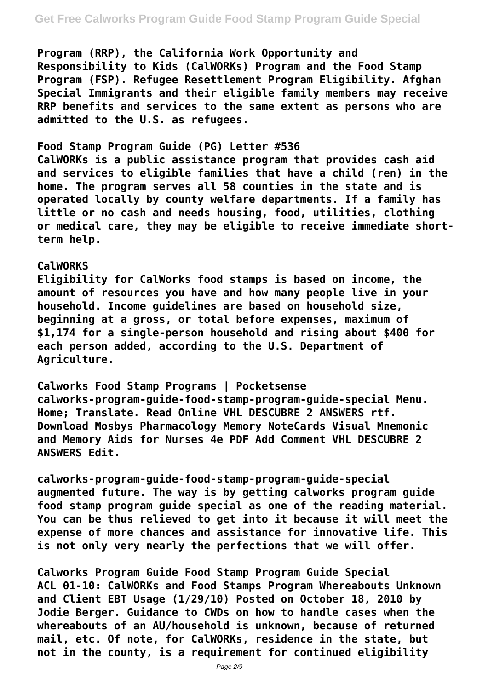**Program (RRP), the California Work Opportunity and Responsibility to Kids (CalWORKs) Program and the Food Stamp Program (FSP). Refugee Resettlement Program Eligibility. Afghan Special Immigrants and their eligible family members may receive RRP benefits and services to the same extent as persons who are admitted to the U.S. as refugees.**

#### **Food Stamp Program Guide (PG) Letter #536**

**CalWORKs is a public assistance program that provides cash aid and services to eligible families that have a child (ren) in the home. The program serves all 58 counties in the state and is operated locally by county welfare departments. If a family has little or no cash and needs housing, food, utilities, clothing or medical care, they may be eligible to receive immediate shortterm help.**

#### **CalWORKS**

**Eligibility for CalWorks food stamps is based on income, the amount of resources you have and how many people live in your household. Income guidelines are based on household size, beginning at a gross, or total before expenses, maximum of \$1,174 for a single-person household and rising about \$400 for each person added, according to the U.S. Department of Agriculture.**

**Calworks Food Stamp Programs | Pocketsense calworks-program-guide-food-stamp-program-guide-special Menu. Home; Translate. Read Online VHL DESCUBRE 2 ANSWERS rtf. Download Mosbys Pharmacology Memory NoteCards Visual Mnemonic and Memory Aids for Nurses 4e PDF Add Comment VHL DESCUBRE 2 ANSWERS Edit.**

**calworks-program-guide-food-stamp-program-guide-special augmented future. The way is by getting calworks program guide food stamp program guide special as one of the reading material. You can be thus relieved to get into it because it will meet the expense of more chances and assistance for innovative life. This is not only very nearly the perfections that we will offer.**

**Calworks Program Guide Food Stamp Program Guide Special ACL 01-10: CalWORKs and Food Stamps Program Whereabouts Unknown and Client EBT Usage (1/29/10) Posted on October 18, 2010 by Jodie Berger. Guidance to CWDs on how to handle cases when the whereabouts of an AU/household is unknown, because of returned mail, etc. Of note, for CalWORKs, residence in the state, but not in the county, is a requirement for continued eligibility**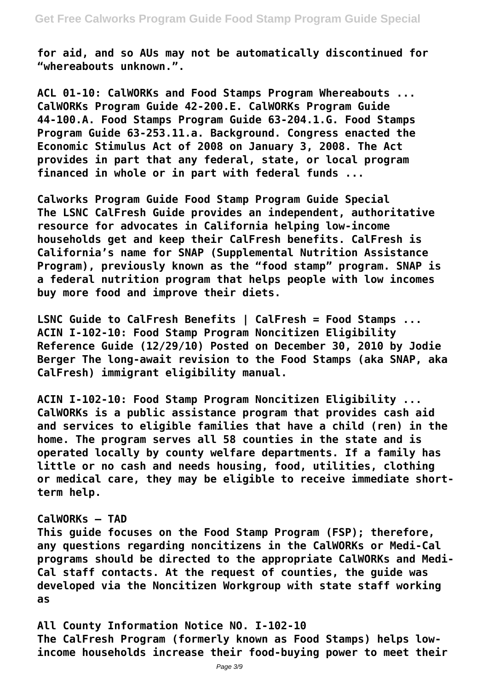**for aid, and so AUs may not be automatically discontinued for "whereabouts unknown.".**

**ACL 01-10: CalWORKs and Food Stamps Program Whereabouts ... CalWORKs Program Guide 42-200.E. CalWORKs Program Guide 44-100.A. Food Stamps Program Guide 63-204.1.G. Food Stamps Program Guide 63-253.11.a. Background. Congress enacted the Economic Stimulus Act of 2008 on January 3, 2008. The Act provides in part that any federal, state, or local program financed in whole or in part with federal funds ...**

**Calworks Program Guide Food Stamp Program Guide Special The LSNC CalFresh Guide provides an independent, authoritative resource for advocates in California helping low-income households get and keep their CalFresh benefits. CalFresh is California's name for SNAP (Supplemental Nutrition Assistance Program), previously known as the "food stamp" program. SNAP is a federal nutrition program that helps people with low incomes buy more food and improve their diets.**

**LSNC Guide to CalFresh Benefits | CalFresh = Food Stamps ... ACIN I-102-10: Food Stamp Program Noncitizen Eligibility Reference Guide (12/29/10) Posted on December 30, 2010 by Jodie Berger The long-await revision to the Food Stamps (aka SNAP, aka CalFresh) immigrant eligibility manual.**

**ACIN I-102-10: Food Stamp Program Noncitizen Eligibility ... CalWORKs is a public assistance program that provides cash aid and services to eligible families that have a child (ren) in the home. The program serves all 58 counties in the state and is operated locally by county welfare departments. If a family has little or no cash and needs housing, food, utilities, clothing or medical care, they may be eligible to receive immediate shortterm help.**

#### **CalWORKs – TAD**

**This guide focuses on the Food Stamp Program (FSP); therefore, any questions regarding noncitizens in the CalWORKs or Medi-Cal programs should be directed to the appropriate CalWORKs and Medi-Cal staff contacts. At the request of counties, the guide was developed via the Noncitizen Workgroup with state staff working as**

**All County Information Notice NO. I-102-10 The CalFresh Program (formerly known as Food Stamps) helps lowincome households increase their food-buying power to meet their**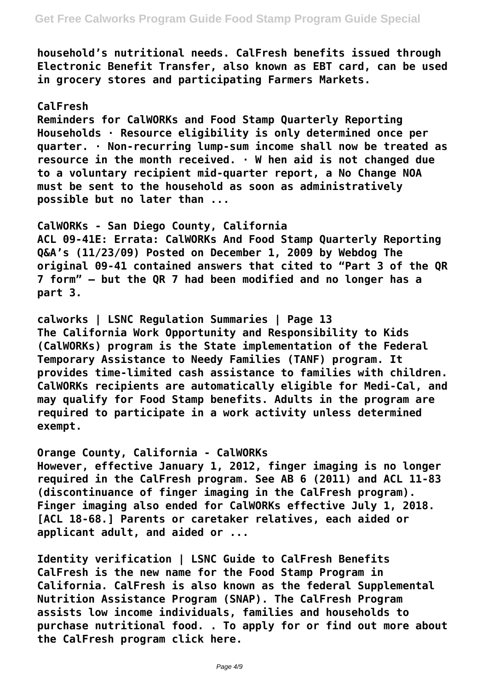**household's nutritional needs. CalFresh benefits issued through Electronic Benefit Transfer, also known as EBT card, can be used in grocery stores and participating Farmers Markets.**

## **CalFresh**

**Reminders for CalWORKs and Food Stamp Quarterly Reporting Households · Resource eligibility is only determined once per quarter. · Non-recurring lump-sum income shall now be treated as resource in the month received. · W hen aid is not changed due to a voluntary recipient mid-quarter report, a No Change NOA must be sent to the household as soon as administratively possible but no later than ...**

**CalWORKs - San Diego County, California ACL 09-41E: Errata: CalWORKs And Food Stamp Quarterly Reporting Q&A's (11/23/09) Posted on December 1, 2009 by Webdog The original 09-41 contained answers that cited to "Part 3 of the QR 7 form" – but the QR 7 had been modified and no longer has a part 3.**

**calworks | LSNC Regulation Summaries | Page 13 The California Work Opportunity and Responsibility to Kids (CalWORKs) program is the State implementation of the Federal Temporary Assistance to Needy Families (TANF) program. It provides time-limited cash assistance to families with children. CalWORKs recipients are automatically eligible for Medi-Cal, and may qualify for Food Stamp benefits. Adults in the program are required to participate in a work activity unless determined exempt.**

**Orange County, California - CalWORKs However, effective January 1, 2012, finger imaging is no longer required in the CalFresh program. See AB 6 (2011) and ACL 11-83 (discontinuance of finger imaging in the CalFresh program). Finger imaging also ended for CalWORKs effective July 1, 2018. [ACL 18-68.] Parents or caretaker relatives, each aided or applicant adult, and aided or ...**

**Identity verification | LSNC Guide to CalFresh Benefits CalFresh is the new name for the Food Stamp Program in California. CalFresh is also known as the federal Supplemental Nutrition Assistance Program (SNAP). The CalFresh Program assists low income individuals, families and households to purchase nutritional food. . To apply for or find out more about the CalFresh program click here.**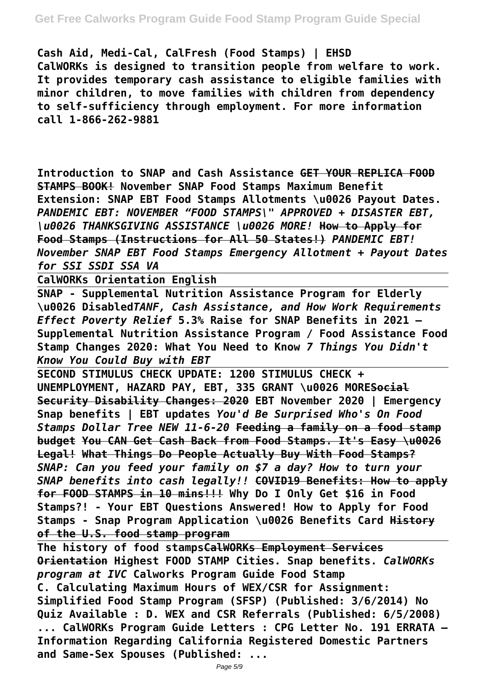# **Get Free Calworks Program Guide Food Stamp Program Guide Special**

**Cash Aid, Medi-Cal, CalFresh (Food Stamps) | EHSD CalWORKs is designed to transition people from welfare to work. It provides temporary cash assistance to eligible families with minor children, to move families with children from dependency to self-sufficiency through employment. For more information call 1-866-262-9881**

**Introduction to SNAP and Cash Assistance GET YOUR REPLICA FOOD STAMPS BOOK! November SNAP Food Stamps Maximum Benefit Extension: SNAP EBT Food Stamps Allotments \u0026 Payout Dates.** *PANDEMIC EBT: NOVEMBER "FOOD STAMPS\" APPROVED + DISASTER EBT, \u0026 THANKSGIVING ASSISTANCE \u0026 MORE!* **How to Apply for Food Stamps (Instructions for All 50 States!)** *PANDEMIC EBT! November SNAP EBT Food Stamps Emergency Allotment + Payout Dates for SSI SSDI SSA VA*

**CalWORKs Orientation English**

**SNAP - Supplemental Nutrition Assistance Program for Elderly \u0026 Disabled***TANF, Cash Assistance, and How Work Requirements Effect Poverty Relief* **5.3% Raise for SNAP Benefits in 2021 – Supplemental Nutrition Assistance Program / Food Assistance Food Stamp Changes 2020: What You Need to Know** *7 Things You Didn't Know You Could Buy with EBT*

**SECOND STIMULUS CHECK UPDATE: 1200 STIMULUS CHECK + UNEMPLOYMENT, HAZARD PAY, EBT, 335 GRANT \u0026 MORESocial Security Disability Changes: 2020 EBT November 2020 | Emergency Snap benefits | EBT updates** *You'd Be Surprised Who's On Food Stamps Dollar Tree NEW 11-6-20* **Feeding a family on a food stamp budget You CAN Get Cash Back from Food Stamps. It's Easy \u0026 Legal! What Things Do People Actually Buy With Food Stamps?** *SNAP: Can you feed your family on \$7 a day? How to turn your SNAP benefits into cash legally!!* **COVID19 Benefits: How to apply for FOOD STAMPS in 10 mins!!! Why Do I Only Get \$16 in Food Stamps?! - Your EBT Questions Answered! How to Apply for Food Stamps - Snap Program Application \u0026 Benefits Card History of the U.S. food stamp program**

**The history of food stampsCalWORKs Employment Services Orientation Highest FOOD STAMP Cities. Snap benefits.** *CalWORKs program at IVC* **Calworks Program Guide Food Stamp C. Calculating Maximum Hours of WEX/CSR for Assignment: Simplified Food Stamp Program (SFSP) (Published: 3/6/2014) No Quiz Available : D. WEX and CSR Referrals (Published: 6/5/2008) ... CalWORKs Program Guide Letters : CPG Letter No. 191 ERRATA – Information Regarding California Registered Domestic Partners and Same-Sex Spouses (Published: ...**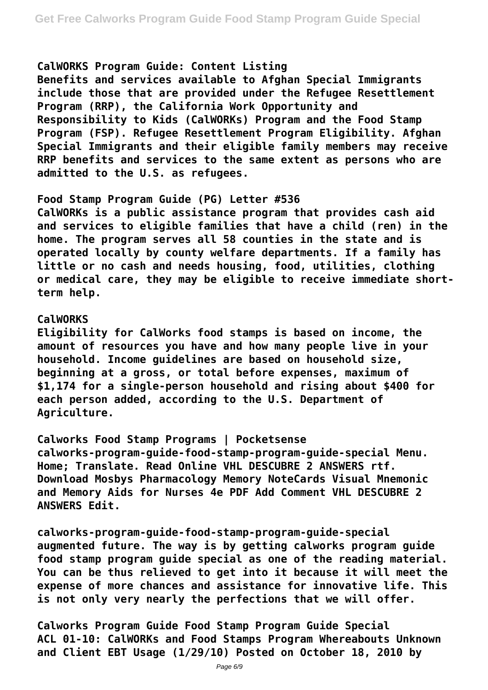## **CalWORKS Program Guide: Content Listing**

**Benefits and services available to Afghan Special Immigrants include those that are provided under the Refugee Resettlement Program (RRP), the California Work Opportunity and Responsibility to Kids (CalWORKs) Program and the Food Stamp Program (FSP). Refugee Resettlement Program Eligibility. Afghan Special Immigrants and their eligible family members may receive RRP benefits and services to the same extent as persons who are admitted to the U.S. as refugees.**

#### **Food Stamp Program Guide (PG) Letter #536**

**CalWORKs is a public assistance program that provides cash aid and services to eligible families that have a child (ren) in the home. The program serves all 58 counties in the state and is operated locally by county welfare departments. If a family has little or no cash and needs housing, food, utilities, clothing or medical care, they may be eligible to receive immediate shortterm help.**

#### **CalWORKS**

**Eligibility for CalWorks food stamps is based on income, the amount of resources you have and how many people live in your household. Income guidelines are based on household size, beginning at a gross, or total before expenses, maximum of \$1,174 for a single-person household and rising about \$400 for each person added, according to the U.S. Department of Agriculture.**

**Calworks Food Stamp Programs | Pocketsense calworks-program-guide-food-stamp-program-guide-special Menu. Home; Translate. Read Online VHL DESCUBRE 2 ANSWERS rtf. Download Mosbys Pharmacology Memory NoteCards Visual Mnemonic and Memory Aids for Nurses 4e PDF Add Comment VHL DESCUBRE 2 ANSWERS Edit.**

**calworks-program-guide-food-stamp-program-guide-special augmented future. The way is by getting calworks program guide food stamp program guide special as one of the reading material. You can be thus relieved to get into it because it will meet the expense of more chances and assistance for innovative life. This is not only very nearly the perfections that we will offer.**

**Calworks Program Guide Food Stamp Program Guide Special ACL 01-10: CalWORKs and Food Stamps Program Whereabouts Unknown and Client EBT Usage (1/29/10) Posted on October 18, 2010 by**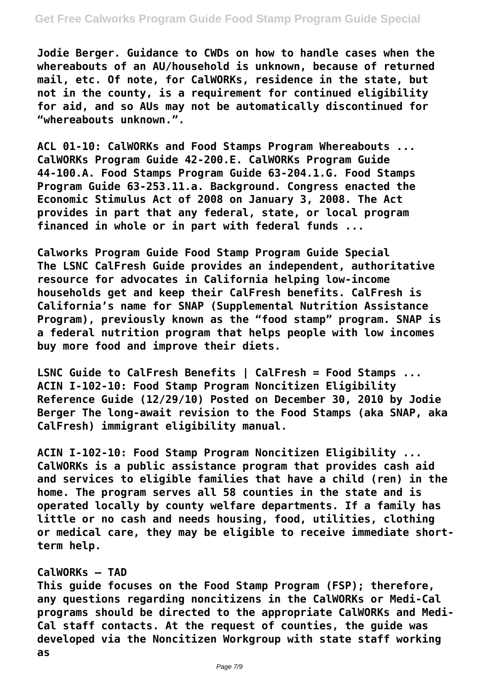## **Get Free Calworks Program Guide Food Stamp Program Guide Special**

**Jodie Berger. Guidance to CWDs on how to handle cases when the whereabouts of an AU/household is unknown, because of returned mail, etc. Of note, for CalWORKs, residence in the state, but not in the county, is a requirement for continued eligibility for aid, and so AUs may not be automatically discontinued for "whereabouts unknown.".**

**ACL 01-10: CalWORKs and Food Stamps Program Whereabouts ... CalWORKs Program Guide 42-200.E. CalWORKs Program Guide 44-100.A. Food Stamps Program Guide 63-204.1.G. Food Stamps Program Guide 63-253.11.a. Background. Congress enacted the Economic Stimulus Act of 2008 on January 3, 2008. The Act provides in part that any federal, state, or local program financed in whole or in part with federal funds ...**

**Calworks Program Guide Food Stamp Program Guide Special The LSNC CalFresh Guide provides an independent, authoritative resource for advocates in California helping low-income households get and keep their CalFresh benefits. CalFresh is California's name for SNAP (Supplemental Nutrition Assistance Program), previously known as the "food stamp" program. SNAP is a federal nutrition program that helps people with low incomes buy more food and improve their diets.**

**LSNC Guide to CalFresh Benefits | CalFresh = Food Stamps ... ACIN I-102-10: Food Stamp Program Noncitizen Eligibility Reference Guide (12/29/10) Posted on December 30, 2010 by Jodie Berger The long-await revision to the Food Stamps (aka SNAP, aka CalFresh) immigrant eligibility manual.**

**ACIN I-102-10: Food Stamp Program Noncitizen Eligibility ... CalWORKs is a public assistance program that provides cash aid and services to eligible families that have a child (ren) in the home. The program serves all 58 counties in the state and is operated locally by county welfare departments. If a family has little or no cash and needs housing, food, utilities, clothing or medical care, they may be eligible to receive immediate shortterm help.**

## **CalWORKs – TAD**

**This guide focuses on the Food Stamp Program (FSP); therefore, any questions regarding noncitizens in the CalWORKs or Medi-Cal programs should be directed to the appropriate CalWORKs and Medi-Cal staff contacts. At the request of counties, the guide was developed via the Noncitizen Workgroup with state staff working as**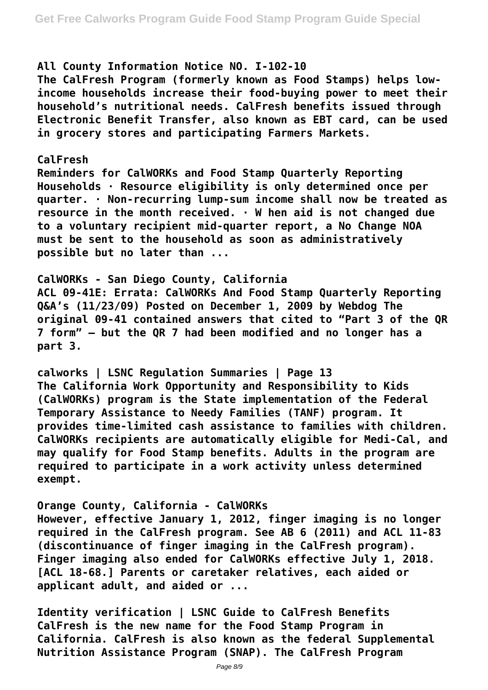## **All County Information Notice NO. I-102-10**

**The CalFresh Program (formerly known as Food Stamps) helps lowincome households increase their food-buying power to meet their household's nutritional needs. CalFresh benefits issued through Electronic Benefit Transfer, also known as EBT card, can be used in grocery stores and participating Farmers Markets.**

## **CalFresh**

**Reminders for CalWORKs and Food Stamp Quarterly Reporting Households · Resource eligibility is only determined once per quarter. · Non-recurring lump-sum income shall now be treated as resource in the month received. · W hen aid is not changed due to a voluntary recipient mid-quarter report, a No Change NOA must be sent to the household as soon as administratively possible but no later than ...**

**CalWORKs - San Diego County, California ACL 09-41E: Errata: CalWORKs And Food Stamp Quarterly Reporting Q&A's (11/23/09) Posted on December 1, 2009 by Webdog The original 09-41 contained answers that cited to "Part 3 of the QR 7 form" – but the QR 7 had been modified and no longer has a part 3.**

**calworks | LSNC Regulation Summaries | Page 13 The California Work Opportunity and Responsibility to Kids (CalWORKs) program is the State implementation of the Federal Temporary Assistance to Needy Families (TANF) program. It provides time-limited cash assistance to families with children. CalWORKs recipients are automatically eligible for Medi-Cal, and may qualify for Food Stamp benefits. Adults in the program are required to participate in a work activity unless determined exempt.**

**Orange County, California - CalWORKs However, effective January 1, 2012, finger imaging is no longer required in the CalFresh program. See AB 6 (2011) and ACL 11-83 (discontinuance of finger imaging in the CalFresh program). Finger imaging also ended for CalWORKs effective July 1, 2018. [ACL 18-68.] Parents or caretaker relatives, each aided or applicant adult, and aided or ...**

**Identity verification | LSNC Guide to CalFresh Benefits CalFresh is the new name for the Food Stamp Program in California. CalFresh is also known as the federal Supplemental Nutrition Assistance Program (SNAP). The CalFresh Program**